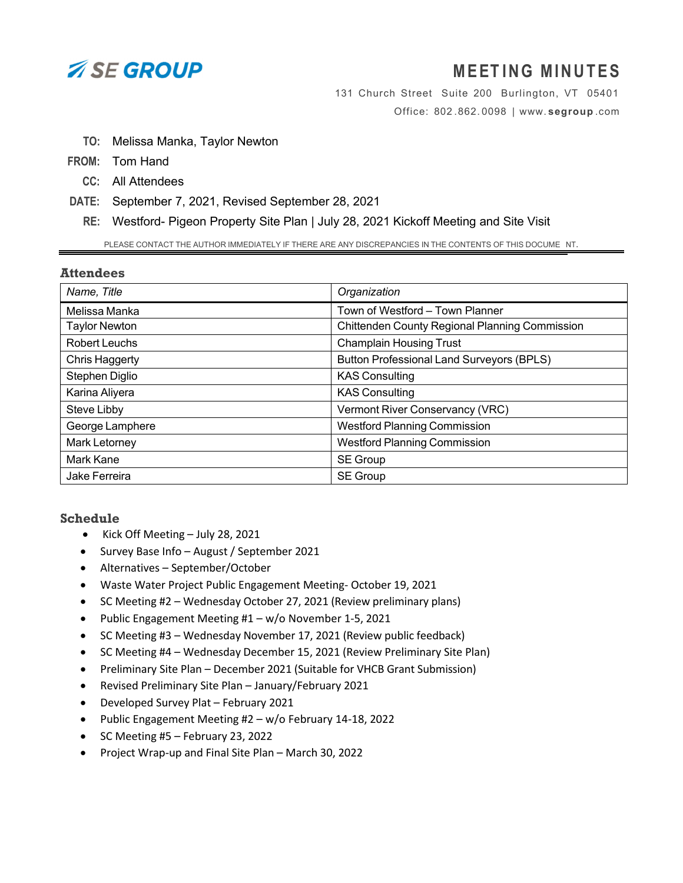

# **MEETING MINUTES**

131 Church Street Suite 200 Burlington, VT 05401 Office: 802 . 862. 0098 | www. **segroup** .com

- **TO:** Melissa Manka, Taylor Newton
- **FROM:** Tom Hand
	- **CC:** All Attendees
- **DATE:** September 7, 2021, Revised September 28, 2021
	- **RE:** Westford- Pigeon Property Site Plan | July 28, 2021 Kickoff Meeting and Site Visit

PLEASE CONTACT THE AUTHOR IMMEDIATELY IF THERE ARE ANY DISCREPANCIES IN THE CONTENTS OF THIS DOCUME NT.

### **Attendees**

| Name, Title           | Organization                                     |
|-----------------------|--------------------------------------------------|
| Melissa Manka         | Town of Westford - Town Planner                  |
| <b>Taylor Newton</b>  | Chittenden County Regional Planning Commission   |
| <b>Robert Leuchs</b>  | <b>Champlain Housing Trust</b>                   |
| <b>Chris Haggerty</b> | <b>Button Professional Land Surveyors (BPLS)</b> |
| Stephen Diglio        | <b>KAS Consulting</b>                            |
| Karina Aliyera        | <b>KAS Consulting</b>                            |
| Steve Libby           | Vermont River Conservancy (VRC)                  |
| George Lamphere       | <b>Westford Planning Commission</b>              |
| <b>Mark Letorney</b>  | <b>Westford Planning Commission</b>              |
| Mark Kane             | SE Group                                         |
| Jake Ferreira         | <b>SE Group</b>                                  |

### **Schedule**

- Kick Off Meeting July 28, 2021
- Survey Base Info August / September 2021
- Alternatives September/October
- Waste Water Project Public Engagement Meeting‐ October 19, 2021
- SC Meeting #2 Wednesday October 27, 2021 (Review preliminary plans)
- Public Engagement Meeting #1 w/o November 1‐5, 2021
- SC Meeting #3 Wednesday November 17, 2021 (Review public feedback)
- SC Meeting #4 Wednesday December 15, 2021 (Review Preliminary Site Plan)
- Preliminary Site Plan December 2021 (Suitable for VHCB Grant Submission)
- Revised Preliminary Site Plan January/February 2021
- Developed Survey Plat February 2021
- Public Engagement Meeting #2 w/o February 14‐18, 2022
- $\bullet$  SC Meeting #5 February 23, 2022
- Project Wrap-up and Final Site Plan March 30, 2022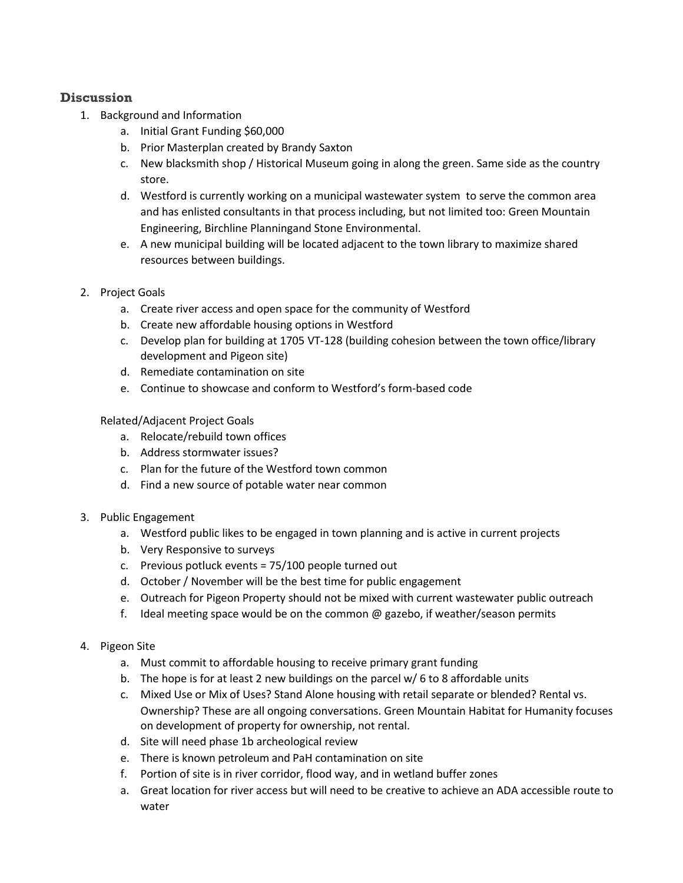## **Discussion**

- 1. Background and Information
	- a. Initial Grant Funding \$60,000
	- b. Prior Masterplan created by Brandy Saxton
	- c. New blacksmith shop / Historical Museum going in along the green. Same side as the country store.
	- d. Westford is currently working on a municipal wastewater system to serve the common area and has enlisted consultants in that process including, but not limited too: Green Mountain Engineering, Birchline Planningand Stone Environmental.
	- e. A new municipal building will be located adjacent to the town library to maximize shared resources between buildings.
- 2. Project Goals
	- a. Create river access and open space for the community of Westford
	- b. Create new affordable housing options in Westford
	- c. Develop plan for building at 1705 VT‐128 (building cohesion between the town office/library development and Pigeon site)
	- d. Remediate contamination on site
	- e. Continue to showcase and conform to Westford's form‐based code

## Related/Adjacent Project Goals

- a. Relocate/rebuild town offices
- b. Address stormwater issues?
- c. Plan for the future of the Westford town common
- d. Find a new source of potable water near common
- 3. Public Engagement
	- a. Westford public likes to be engaged in town planning and is active in current projects
	- b. Very Responsive to surveys
	- c. Previous potluck events = 75/100 people turned out
	- d. October / November will be the best time for public engagement
	- e. Outreach for Pigeon Property should not be mixed with current wastewater public outreach
	- f. Ideal meeting space would be on the common  $\omega$  gazebo, if weather/season permits
- 4. Pigeon Site
	- a. Must commit to affordable housing to receive primary grant funding
	- b. The hope is for at least 2 new buildings on the parcel w/ 6 to 8 affordable units
	- c. Mixed Use or Mix of Uses? Stand Alone housing with retail separate or blended? Rental vs. Ownership? These are all ongoing conversations. Green Mountain Habitat for Humanity focuses on development of property for ownership, not rental.
	- d. Site will need phase 1b archeological review
	- e. There is known petroleum and PaH contamination on site
	- f. Portion of site is in river corridor, flood way, and in wetland buffer zones
	- a. Great location for river access but will need to be creative to achieve an ADA accessible route to water